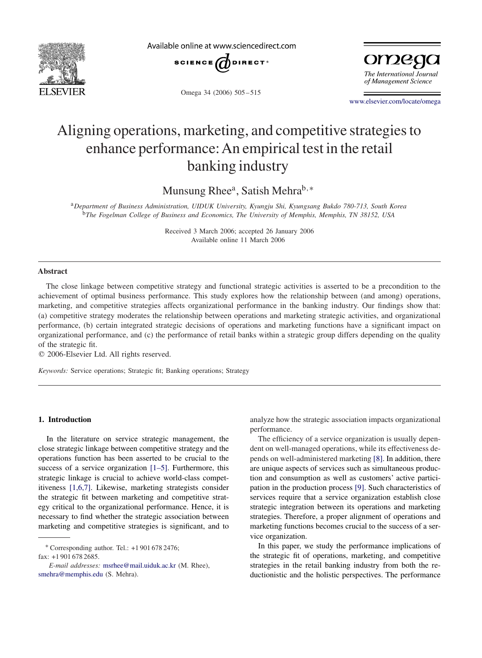

Available online at www.sciencedirect.com



Omega 34 (2006) 505 – 515

omega The International Journal of Management Science

[www.elsevier.com/locate/omega](http://www.elsevier.com/locate/omega)

# Aligning operations, marketing, and competitive strategies to enhance performance:An empirical test in the retail banking industry

Munsung Rheea, Satish Mehrab*,*<sup>∗</sup>

<sup>a</sup>*Department of Business Administration, UIDUK University, Kyungju Shi, Kyungsang Bukdo 780-713, South Korea* <sup>b</sup>*The Fogelman College of Business and Economics, The University of Memphis, Memphis, TN 38152, USA*

> Received 3 March 2006; accepted 26 January 2006 Available online 11 March 2006

#### **Abstract**

The close linkage between competitive strategy and functional strategic activities is asserted to be a precondition to the achievement of optimal business performance. This study explores how the relationship between (and among) operations, marketing, and competitive strategies affects organizational performance in the banking industry. Our findings show that: (a) competitive strategy moderates the relationship between operations and marketing strategic activities, and organizational performance, (b) certain integrated strategic decisions of operations and marketing functions have a significant impact on organizational performance, and (c) the performance of retail banks within a strategic group differs depending on the quality of the strategic fit.

2006-Elsevier Ltd. All rights reserved.

*Keywords:* Service operations; Strategic fit; Banking operations; Strategy

## **1. Introduction**

In the literature on service strategic management, the close strategic linkage between competitive strategy and the operations function has been asserted to be crucial to the success of a service organization [1–5]. Furthermore, this strategic linkage is crucial to achieve world-class competitiveness [1,6,7]. Likewise, marketing strategists consider the strategic fit between marketing and competitive strategy critical to the organizational performance. Hence, it is necessary to find whether the strategic association between marketing and competitive strategies is significant, and to

fax: +1 901 678 2685.

analyze how the strategic association impacts organizational performance.

The efficiency of a service organization is usually dependent on well-managed operations, while its effectiveness depends on well-administered marketing [\[8\].](#page-9-0) In addition, there are unique aspects of services such as simultaneous production and consumption as well as customers' active participation in the production process [\[9\].](#page-9-0) Such characteristics of services require that a service organization establish close strategic integration between its operations and marketing strategies. Therefore, a proper alignment of operations and marketing functions becomes crucial to the success of a service organization.

In this paper, we study the performance implications of the strategic fit of operations, marketing, and competitive strategies in the retail banking industry from both the reductionistic and the holistic perspectives. The performance

<sup>∗</sup> Corresponding author. Tel.: +1 901 678 2476;

*E-mail addresses:* [msrhee@mail.uiduk.ac.kr](mailto:msrhee@mail.uiduk.ac.kr) (M. Rhee), [smehra@memphis.edu](mailto:smehra@memphis.edu) (S. Mehra).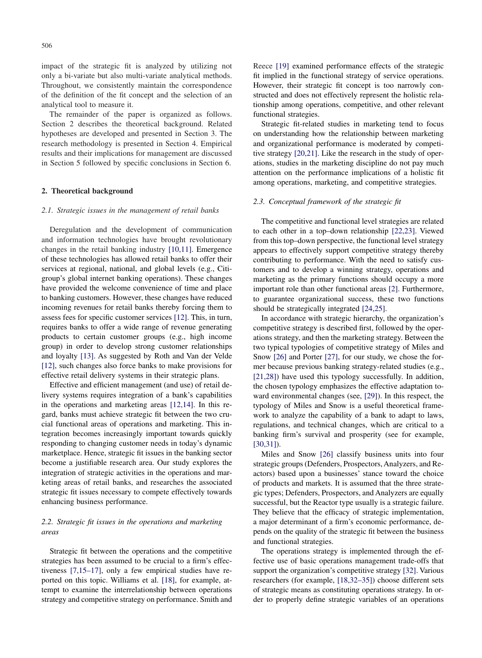impact of the strategic fit is analyzed by utilizing not only a bi-variate but also multi-variate analytical methods. Throughout, we consistently maintain the correspondence of the definition of the fit concept and the selection of an analytical tool to measure it.

The remainder of the paper is organized as follows. Section 2 describes the theoretical background. Related hypotheses are developed and presented in Section 3. The research methodology is presented in Section 4. Empirical results and their implications for management are discussed in Section 5 followed by specific conclusions in Section 6.

#### **2. Theoretical background**

#### *2.1. Strategic issues in the management of retail banks*

Deregulation and the development of communication and information technologies have brought revolutionary changes in the retail banking industry [10,11]. Emergence of these technologies has allowed retail banks to offer their services at regional, national, and global levels (e.g., Citigroup's global internet banking operations). These changes have provided the welcome convenience of time and place to banking customers. However, these changes have reduced incoming revenues for retail banks thereby forcing them to assess fees for specific customer services [\[12\].](#page-9-0) This, in turn, requires banks to offer a wide range of revenue generating products to certain customer groups (e.g., high income group) in order to develop strong customer relationships and loyalty [\[13\].](#page-9-0) As suggested by Roth and Van der Velde [\[12\],](#page-9-0) such changes also force banks to make provisions for effective retail delivery systems in their strategic plans.

Effective and efficient management (and use) of retail delivery systems requires integration of a bank's capabilities in the operations and marketing areas [12,14]. In this regard, banks must achieve strategic fit between the two crucial functional areas of operations and marketing. This integration becomes increasingly important towards quickly responding to changing customer needs in today's dynamic marketplace. Hence, strategic fit issues in the banking sector become a justifiable research area. Our study explores the integration of strategic activities in the operations and marketing areas of retail banks, and researches the associated strategic fit issues necessary to compete effectively towards enhancing business performance.

## *2.2. Strategic fit issues in the operations and marketing areas*

Strategic fit between the operations and the competitive strategies has been assumed to be crucial to a firm's effectiveness [7,15–17], only a few empirical studies have reported on this topic. Williams et al. [\[18\],](#page-9-0) for example, attempt to examine the interrelationship between operations strategy and competitive strategy on performance. Smith and Reece [\[19\]](#page-9-0) examined performance effects of the strategic fit implied in the functional strategy of service operations. However, their strategic fit concept is too narrowly constructed and does not effectively represent the holistic relationship among operations, competitive, and other relevant functional strategies.

Strategic fit-related studies in marketing tend to focus on understanding how the relationship between marketing and organizational performance is moderated by competitive strategy [20,21]. Like the research in the study of operations, studies in the marketing discipline do not pay much attention on the performance implications of a holistic fit among operations, marketing, and competitive strategies.

## *2.3. Conceptual framework of the strategic fit*

The competitive and functional level strategies are related to each other in a top–down relationship [22,23]. Viewed from this top–down perspective, the functional level strategy appears to effectively support competitive strategy thereby contributing to performance. With the need to satisfy customers and to develop a winning strategy, operations and marketing as the primary functions should occupy a more important role than other functional areas [\[2\].](#page-8-0) Furthermore, to guarantee organizational success, these two functions should be strategically integrated [24,25].

In accordance with strategic hierarchy, the organization's competitive strategy is described first, followed by the operations strategy, and then the marketing strategy. Between the two typical typologies of competitive strategy of Miles and Snow [\[26\]](#page-9-0) and Porter [\[27\],](#page-9-0) for our study, we chose the former because previous banking strategy-related studies (e.g., [21,28]) have used this typology successfully. In addition, the chosen typology emphasizes the effective adaptation toward environmental changes (see, [\[29\]\)](#page-9-0). In this respect, the typology of Miles and Snow is a useful theoretical framework to analyze the capability of a bank to adapt to laws, regulations, and technical changes, which are critical to a banking firm's survival and prosperity (see for example, [30,31]).

Miles and Snow [\[26\]](#page-9-0) classify business units into four strategic groups (Defenders, Prospectors, Analyzers, and Reactors) based upon a businesses' stance toward the choice of products and markets. It is assumed that the three strategic types; Defenders, Prospectors, and Analyzers are equally successful, but the Reactor type usually is a strategic failure. They believe that the efficacy of strategic implementation, a major determinant of a firm's economic performance, depends on the quality of the strategic fit between the business and functional strategies.

The operations strategy is implemented through the effective use of basic operations management trade-offs that support the organization's competitive strategy [\[32\].](#page-9-0) Various researchers (for example, [18,32–35]) choose different sets of strategic means as constituting operations strategy. In order to properly define strategic variables of an operations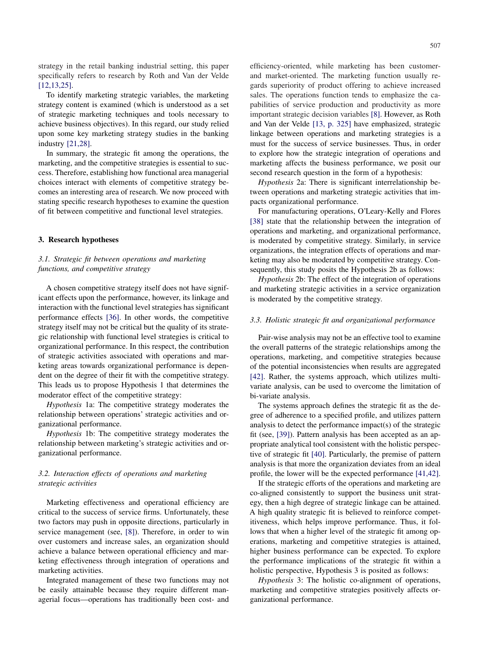strategy in the retail banking industrial setting, this paper specifically refers to research by Roth and Van der Velde [12,13,25].

To identify marketing strategic variables, the marketing strategy content is examined (which is understood as a set of strategic marketing techniques and tools necessary to achieve business objectives). In this regard, our study relied upon some key marketing strategy studies in the banking industry [21,28].

In summary, the strategic fit among the operations, the marketing, and the competitive strategies is essential to success. Therefore, establishing how functional area managerial choices interact with elements of competitive strategy becomes an interesting area of research. We now proceed with stating specific research hypotheses to examine the question of fit between competitive and functional level strategies.

### **3. Research hypotheses**

# *3.1. Strategic fit between operations and marketing functions, and competitive strategy*

A chosen competitive strategy itself does not have significant effects upon the performance, however, its linkage and interaction with the functional level strategies has significant performance effects [\[36\].](#page-9-0) In other words, the competitive strategy itself may not be critical but the quality of its strategic relationship with functional level strategies is critical to organizational performance. In this respect, the contribution of strategic activities associated with operations and marketing areas towards organizational performance is dependent on the degree of their fit with the competitive strategy. This leads us to propose Hypothesis 1 that determines the moderator effect of the competitive strategy:

*Hypothesis* 1a: The competitive strategy moderates the relationship between operations' strategic activities and organizational performance.

*Hypothesis* 1b: The competitive strategy moderates the relationship between marketing's strategic activities and organizational performance.

## *3.2. Interaction effects of operations and marketing strategic activities*

Marketing effectiveness and operational efficiency are critical to the success of service firms. Unfortunately, these two factors may push in opposite directions, particularly in service management (see, [\[8\]\)](#page-9-0). Therefore, in order to win over customers and increase sales, an organization should achieve a balance between operational efficiency and marketing effectiveness through integration of operations and marketing activities.

Integrated management of these two functions may not be easily attainable because they require different managerial focus—operations has traditionally been cost- and efficiency-oriented, while marketing has been customerand market-oriented. The marketing function usually regards superiority of product offering to achieve increased sales. The operations function tends to emphasize the capabilities of service production and productivity as more important strategic decision variables [\[8\].](#page-9-0) However, as Roth and Van der Velde [\[13, p. 325\]](#page-9-0) have emphasized, strategic linkage between operations and marketing strategies is a must for the success of service businesses. Thus, in order to explore how the strategic integration of operations and marketing affects the business performance, we posit our second research question in the form of a hypothesis:

*Hypothesis* 2a: There is significant interrelationship between operations and marketing strategic activities that impacts organizational performance.

For manufacturing operations, O'Leary-Kelly and Flores [\[38\]](#page-9-0) state that the relationship between the integration of operations and marketing, and organizational performance, is moderated by competitive strategy. Similarly, in service organizations, the integration effects of operations and marketing may also be moderated by competitive strategy. Consequently, this study posits the Hypothesis 2b as follows:

*Hypothesis* 2b: The effect of the integration of operations and marketing strategic activities in a service organization is moderated by the competitive strategy.

## *3.3. Holistic strategic fit and organizational performance*

Pair-wise analysis may not be an effective tool to examine the overall patterns of the strategic relationships among the operations, marketing, and competitive strategies because of the potential inconsistencies when results are aggregated [\[42\].](#page-9-0) Rather, the systems approach, which utilizes multivariate analysis, can be used to overcome the limitation of bi-variate analysis.

The systems approach defines the strategic fit as the degree of adherence to a specified profile, and utilizes pattern analysis to detect the performance impact(s) of the strategic fit (see, [\[39\]\)](#page-9-0). Pattern analysis has been accepted as an appropriate analytical tool consistent with the holistic perspective of strategic fit [\[40\].](#page-9-0) Particularly, the premise of pattern analysis is that more the organization deviates from an ideal profile, the lower will be the expected performance [41,42].

If the strategic efforts of the operations and marketing are co-aligned consistently to support the business unit strategy, then a high degree of strategic linkage can be attained. A high quality strategic fit is believed to reinforce competitiveness, which helps improve performance. Thus, it follows that when a higher level of the strategic fit among operations, marketing and competitive strategies is attained, higher business performance can be expected. To explore the performance implications of the strategic fit within a holistic perspective, Hypothesis 3 is posited as follows:

*Hypothesis* 3: The holistic co-alignment of operations, marketing and competitive strategies positively affects organizational performance.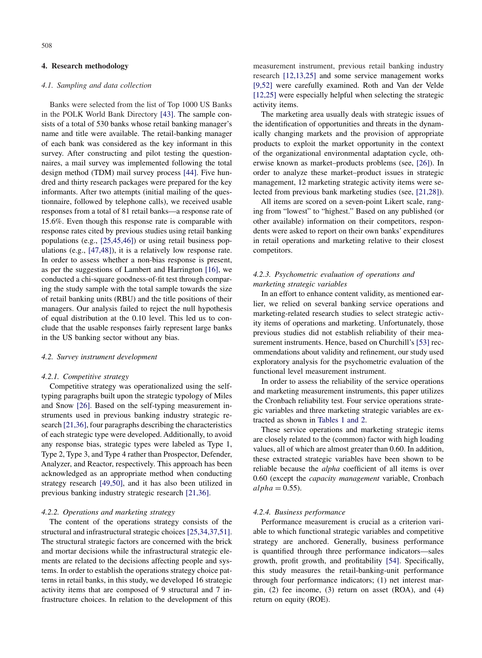## **4. Research methodology**

## *4.1. Sampling and data collection*

Banks were selected from the list of Top 1000 US Banks in the POLK World Bank Directory [\[43\].](#page-9-0) The sample consists of a total of 530 banks whose retail banking manager's name and title were available. The retail-banking manager of each bank was considered as the key informant in this survey. After constructing and pilot testing the questionnaires, a mail survey was implemented following the total design method (TDM) mail survey process [\[44\].](#page-9-0) Five hundred and thirty research packages were prepared for the key informants. After two attempts (initial mailing of the questionnaire, followed by telephone calls), we received usable responses from a total of 81 retail banks—a response rate of 15.6%. Even though this response rate is comparable with response rates cited by previous studies using retail banking populations (e.g., [25,45,46]) or using retail business populations (e.g., [47,48]), it is a relatively low response rate. In order to assess whether a non-bias response is present, as per the suggestions of Lambert and Harrington [\[16\],](#page-9-0) we conducted a chi-square goodness-of-fit test through comparing the study sample with the total sample towards the size of retail banking units (RBU) and the title positions of their managers. Our analysis failed to reject the null hypothesis of equal distribution at the 0.10 level. This led us to conclude that the usable responses fairly represent large banks in the US banking sector without any bias.

#### *4.2. Survey instrument development*

#### *4.2.1. Competitive strategy*

Competitive strategy was operationalized using the selftyping paragraphs built upon the strategic typology of Miles and Snow [\[26\].](#page-9-0) Based on the self-typing measurement instruments used in previous banking industry strategic research [21,36], four paragraphs describing the characteristics of each strategic type were developed. Additionally, to avoid any response bias, strategic types were labeled as Type 1, Type 2, Type 3, and Type 4 rather than Prospector, Defender, Analyzer, and Reactor, respectively. This approach has been acknowledged as an appropriate method when conducting strategy research [49,50], and it has also been utilized in previous banking industry strategic research [21,36].

## *4.2.2. Operations and marketing strategy*

The content of the operations strategy consists of the structural and infrastructural strategic choices [25,34,37,51]. The structural strategic factors are concerned with the brick and mortar decisions while the infrastructural strategic elements are related to the decisions affecting people and systems. In order to establish the operations strategy choice patterns in retail banks, in this study, we developed 16 strategic activity items that are composed of 9 structural and 7 infrastructure choices. In relation to the development of this measurement instrument, previous retail banking industry research [12,13,25] and some service management works [9,52] were carefully examined. Roth and Van der Velde [12,25] were especially helpful when selecting the strategic activity items.

The marketing area usually deals with strategic issues of the identification of opportunities and threats in the dynamically changing markets and the provision of appropriate products to exploit the market opportunity in the context of the organizational environmental adaptation cycle, otherwise known as market–products problems (see, [\[26\]\)](#page-9-0). In order to analyze these market–product issues in strategic management, 12 marketing strategic activity items were selected from previous bank marketing studies (see, [21,28]).

All items are scored on a seven-point Likert scale, ranging from "lowest" to "highest." Based on any published (or other available) information on their competitors, respondents were asked to report on their own banks' expenditures in retail operations and marketing relative to their closest competitors.

# *4.2.3. Psychometric evaluation of operations and marketing strategic variables*

In an effort to enhance content validity, as mentioned earlier, we relied on several banking service operations and marketing-related research studies to select strategic activity items of operations and marketing. Unfortunately, those previous studies did not establish reliability of their mea-surement instruments. Hence, based on Churchill's [\[53\]](#page-10-0) recommendations about validity and refinement, our study used exploratory analysis for the psychometric evaluation of the functional level measurement instrument.

In order to assess the reliability of the service operations and marketing measurement instruments, this paper utilizes the Cronbach reliability test. Four service operations strategic variables and three marketing strategic variables are extracted as shown in Tables 1 and 2.

These service operations and marketing strategic items are closely related to the (common) factor with high loading values, all of which are almost greater than 0.60. In addition, these extracted strategic variables have been shown to be reliable because the *alpha* coefficient of all items is over 0.60 (except the *capacity management* variable, Cronbach  $alpha = 0.55$ ).

#### *4.2.4. Business performance*

Performance measurement is crucial as a criterion variable to which functional strategic variables and competitive strategy are anchored. Generally, business performance is quantified through three performance indicators—sales growth, profit growth, and profitability [\[54\].](#page-10-0) Specifically, this study measures the retail-banking-unit performance through four performance indicators; (1) net interest margin, (2) fee income, (3) return on asset (ROA), and (4) return on equity (ROE).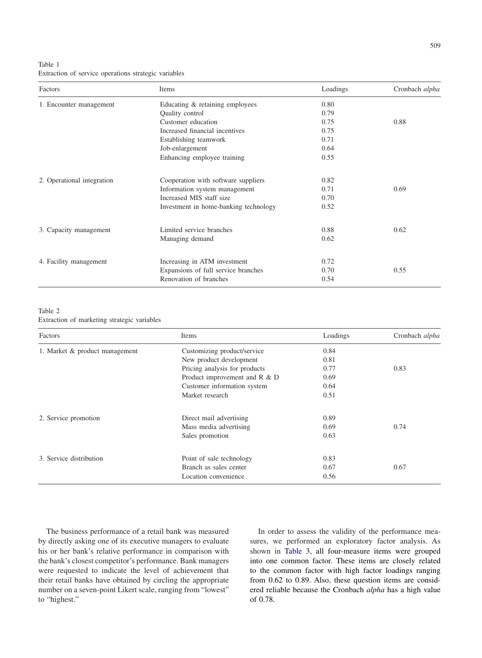Table 1 Extraction of service operations strategic variables

| Factors                    | Items                                 | Loadings | Cronbach alpha |  |
|----------------------------|---------------------------------------|----------|----------------|--|
| 1. Encounter management    | Educating & retaining employees       | 0.80     |                |  |
|                            | Quality control                       | 0.79     |                |  |
|                            | Customer education                    | 0.75     | 0.88           |  |
|                            | Increased financial incentives        | 0.75     |                |  |
|                            | Establishing teamwork                 | 0.71     |                |  |
|                            | Job-enlargement                       | 0.64     |                |  |
|                            | Enhancing employee training           | 0.55     |                |  |
| 2. Operational integration | Cooperation with software suppliers   | 0.82     |                |  |
|                            | Information system management         | 0.71     | 0.69           |  |
|                            | Increased MIS staff size              | 0.70     |                |  |
|                            | Investment in home-banking technology | 0.52     |                |  |
| 3. Capacity management     | Limited service branches              | 0.88     | 0.62           |  |
|                            | Managing demand                       | 0.62     |                |  |
| 4. Facility management     | Increasing in ATM investment          | 0.72     |                |  |
|                            | Expansions of full service branches   | 0.70     | 0.55           |  |
|                            | Renovation of branches                | 0.54     |                |  |

## Table 2

Extraction of marketing strategic variables

| Factors                        | Items                            | Loadings | Cronbach alpha |  |
|--------------------------------|----------------------------------|----------|----------------|--|
| 1. Market & product management | Customizing product/service      | 0.84     |                |  |
|                                | New product development          | 0.81     |                |  |
|                                | Pricing analysis for products    | 0.77     | 0.83           |  |
|                                | Product improvement and $R \& D$ | 0.69     |                |  |
|                                | Customer information system      | 0.64     |                |  |
|                                | Market research                  | 0.51     |                |  |
| 2. Service promotion           | Direct mail advertising          | 0.89     |                |  |
|                                | Mass media advertising           | 0.69     | 0.74           |  |
|                                | Sales promotion                  | 0.63     |                |  |
| 3. Service distribution        | Point of sale technology         | 0.83     |                |  |
|                                | Branch as sales center           | 0.67     | 0.67           |  |
|                                | Location convenience             | 0.56     |                |  |

The business performance of a retail bank was measured by directly asking one of its executive managers to evaluate his or her bank's relative performance in comparison with the bank's closest competitor's performance. Bank managers were requested to indicate the level of achievement that their retail banks have obtained by circling the appropriate number on a seven-point Likert scale, ranging from "lowest" to "highest."

In order to assess the validity of the performance measures, we performed an exploratory factor analysis. As shown in [Table 3,](#page-5-0) all four-measure items were grouped into one common factor. These items are closely related to the common factor with high factor loadings ranging from 0.62 to 0.89. Also, these question items are considered reliable because the Cronbach *alpha* has a high value of 0.78.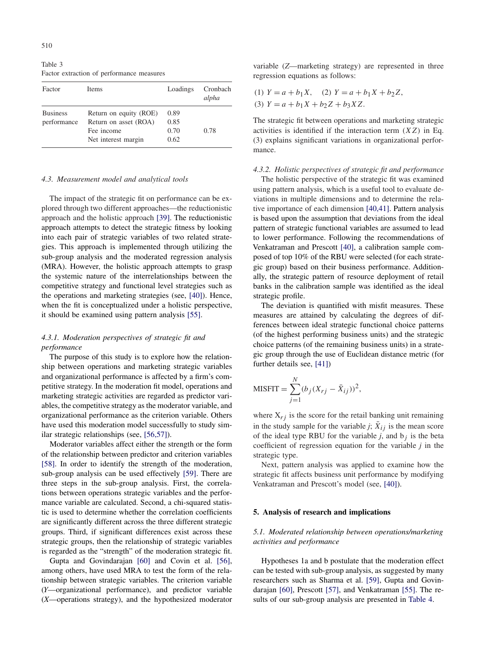<span id="page-5-0"></span>510

Table 3 Factor extraction of performance measures

| Factor          | <b>Items</b>           | Loadings | Cronbach<br>alpha |
|-----------------|------------------------|----------|-------------------|
| <b>Business</b> | Return on equity (ROE) | 0.89     |                   |
| performance     | Return on asset (ROA)  | 0.85     |                   |
|                 | Fee income             | 0.70     | 0.78              |
|                 | Net interest margin    | 0.62     |                   |

#### *4.3. Measurement model and analytical tools*

The impact of the strategic fit on performance can be explored through two different approaches—the reductionistic approach and the holistic approach [\[39\].](#page-9-0) The reductionistic approach attempts to detect the strategic fitness by looking into each pair of strategic variables of two related strategies. This approach is implemented through utilizing the sub-group analysis and the moderated regression analysis (MRA). However, the holistic approach attempts to grasp the systemic nature of the interrelationships between the competitive strategy and functional level strategies such as the operations and marketing strategies (see, [\[40\]\)](#page-9-0). Hence, when the fit is conceptualized under a holistic perspective, it should be examined using pattern analysis [\[55\].](#page-10-0)

# *4.3.1. Moderation perspectives of strategic fit and performance*

The purpose of this study is to explore how the relationship between operations and marketing strategic variables and organizational performance is affected by a firm's competitive strategy. In the moderation fit model, operations and marketing strategic activities are regarded as predictor variables, the competitive strategy as the moderator variable, and organizational performance as the criterion variable. Others have used this moderation model successfully to study similar strategic relationships (see, [56,57]).

Moderator variables affect either the strength or the form of the relationship between predictor and criterion variables [\[58\].](#page-10-0) In order to identify the strength of the moderation, sub-group analysis can be used effectively [\[59\].](#page-10-0) There are three steps in the sub-group analysis. First, the correlations between operations strategic variables and the performance variable are calculated. Second, a chi-squared statistic is used to determine whether the correlation coefficients are significantly different across the three different strategic groups. Third, if significant differences exist across these strategic groups, then the relationship of strategic variables is regarded as the "strength" of the moderation strategic fit.

Gupta and Govindarajan [\[60\]](#page-10-0) and Covin et al. [\[56\],](#page-10-0) among others, have used MRA to test the form of the relationship between strategic variables. The criterion variable (*Y*—organizational performance), and predictor variable (*X*—operations strategy), and the hypothesized moderator

variable (*Z*—marketing strategy) are represented in three regression equations as follows:

(1) 
$$
Y = a + b_1 X
$$
, (2)  $Y = a + b_1 X + b_2 Z$ ,  
(3)  $Y = a + b_1 X + b_2 Z + b_3 X Z$ .

The strategic fit between operations and marketing strategic activities is identified if the interaction term *(XZ)* in Eq. (3) explains significant variations in organizational performance.

#### *4.3.2. Holistic perspectives of strategic fit and performance*

The holistic perspective of the strategic fit was examined using pattern analysis, which is a useful tool to evaluate deviations in multiple dimensions and to determine the relative importance of each dimension [40,41]. Pattern analysis is based upon the assumption that deviations from the ideal pattern of strategic functional variables are assumed to lead to lower performance. Following the recommendations of Venkatraman and Prescott [\[40\],](#page-9-0) a calibration sample composed of top 10% of the RBU were selected (for each strategic group) based on their business performance. Additionally, the strategic pattern of resource deployment of retail banks in the calibration sample was identified as the ideal strategic profile.

The deviation is quantified with misfit measures. These measures are attained by calculating the degrees of differences between ideal strategic functional choice patterns (of the highest performing business units) and the strategic choice patterns (of the remaining business units) in a strategic group through the use of Euclidean distance metric (for further details see, [\[41\]\)](#page-9-0)

$$
MISFIT = \sum_{j=1}^{N} (b_j (X_{rj} - \bar{X}_{ij}))^2,
$$

where  $X_{rj}$  is the score for the retail banking unit remaining in the study sample for the variable *j*;  $\bar{X}_{ij}$  is the mean score of the ideal type RBU for the variable  $j$ , and  $b_j$  is the beta coefficient of regression equation for the variable *j* in the strategic type.

Next, pattern analysis was applied to examine how the strategic fit affects business unit performance by modifying Venkatraman and Prescott's model (see, [\[40\]\)](#page-9-0).

## **5. Analysis of research and implications**

## *5.1. Moderated relationship between operations/marketing activities and performance*

Hypotheses 1a and b postulate that the moderation effect can be tested with sub-group analysis, as suggested by many researchers such as Sharma et al. [\[59\],](#page-10-0) Gupta and Govindarajan [\[60\],](#page-10-0) Prescott [\[57\],](#page-10-0) and Venkatraman [\[55\].](#page-10-0) The results of our sub-group analysis are presented in [Table 4.](#page-6-0)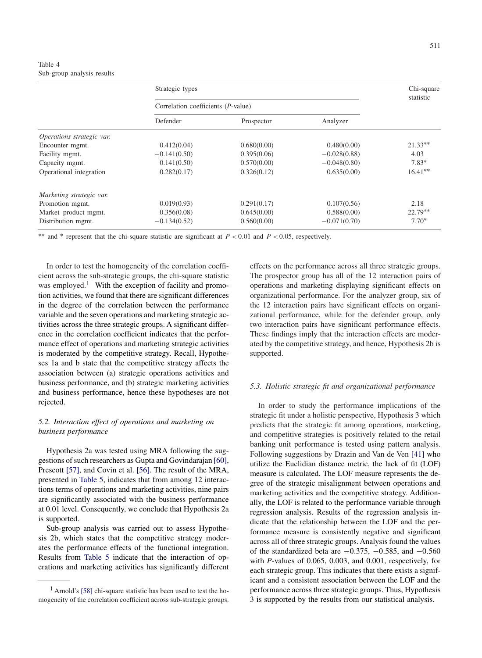<span id="page-6-0"></span>

|                           | Strategic types                             |             | Chi-square<br>statistic |           |
|---------------------------|---------------------------------------------|-------------|-------------------------|-----------|
|                           | Correlation coefficients ( <i>P</i> -value) |             |                         |           |
|                           | Defender                                    | Prospector  | Analyzer                |           |
| Operations strategic var. |                                             |             |                         |           |
| Encounter mgmt.           | 0.412(0.04)                                 | 0.680(0.00) | 0.480(0.00)             | $21.33**$ |
| Facility mgmt.            | $-0.141(0.50)$                              | 0.395(0.06) | $-0.028(0.88)$          | 4.03      |
| Capacity mgmt.            | 0.141(0.50)                                 | 0.570(0.00) | $-0.048(0.80)$          | $7.83*$   |
| Operational integration   | 0.282(0.17)                                 | 0.326(0.12) | 0.635(0.00)             | $16.41**$ |
| Marketing strategic var.  |                                             |             |                         |           |
| Promotion mgmt.           | 0.019(0.93)                                 | 0.291(0.17) | 0.107(0.56)             | 2.18      |
| Market-product mgmt.      | 0.356(0.08)                                 | 0.645(0.00) | 0.588(0.00)             | $22.79**$ |
| Distribution mgmt.        | $-0.134(0.52)$                              | 0.560(0.00) | $-0.071(0.70)$          | $7.70*$   |

∗∗ and ∗ represent that the chi-square statistic are significant at *P <* 0*.*01 and *P <* 0*.*05, respectively.

In order to test the homogeneity of the correlation coefficient across the sub-strategic groups, the chi-square statistic was employed.<sup>1</sup> With the exception of facility and promotion activities, we found that there are significant differences in the degree of the correlation between the performance variable and the seven operations and marketing strategic activities across the three strategic groups. A significant difference in the correlation coefficient indicates that the performance effect of operations and marketing strategic activities is moderated by the competitive strategy. Recall, Hypotheses 1a and b state that the competitive strategy affects the association between (a) strategic operations activities and business performance, and (b) strategic marketing activities and business performance, hence these hypotheses are not rejected.

# *5.2. Interaction effect of operations and marketing on business performance*

Hypothesis 2a was tested using MRA following the suggestions of such researchers as Gupta and Govindarajan [\[60\],](#page-10-0) Prescott [\[57\],](#page-10-0) and Covin et al. [\[56\].](#page-10-0) The result of the MRA, presented in [Table 5,](#page-7-0) indicates that from among 12 interactions terms of operations and marketing activities, nine pairs are significantly associated with the business performance at 0.01 level. Consequently, we conclude that Hypothesis 2a is supported.

Sub-group analysis was carried out to assess Hypothesis 2b, which states that the competitive strategy moderates the performance effects of the functional integration. Results from [Table 5](#page-7-0) indicate that the interaction of operations and marketing activities has significantly different effects on the performance across all three strategic groups. The prospector group has all of the 12 interaction pairs of operations and marketing displaying significant effects on organizational performance. For the analyzer group, six of the 12 interaction pairs have significant effects on organizational performance, while for the defender group, only two interaction pairs have significant performance effects. These findings imply that the interaction effects are moderated by the competitive strategy, and hence, Hypothesis 2b is supported.

#### *5.3. Holistic strategic fit and organizational performance*

In order to study the performance implications of the strategic fit under a holistic perspective, Hypothesis 3 which predicts that the strategic fit among operations, marketing, and competitive strategies is positively related to the retail banking unit performance is tested using pattern analysis. Following suggestions by Drazin and Van de Ven [\[41\]](#page-9-0) who utilize the Euclidian distance metric, the lack of fit (LOF) measure is calculated. The LOF measure represents the degree of the strategic misalignment between operations and marketing activities and the competitive strategy. Additionally, the LOF is related to the performance variable through regression analysis. Results of the regression analysis indicate that the relationship between the LOF and the performance measure is consistently negative and significant across all of three strategic groups. Analysis found the values of the standardized beta are −0*.*375, −0*.*585, and −0*.*560 with *P*-values of 0.065, 0.003, and 0.001, respectively, for each strategic group. This indicates that there exists a significant and a consistent association between the LOF and the performance across three strategic groups. Thus, Hypothesis 3 is supported by the results from our statistical analysis.

<sup>1</sup> Arnold's [\[58\]](#page-10-0) chi-square statistic has been used to test the homogeneity of the correlation coefficient across sub-strategic groups.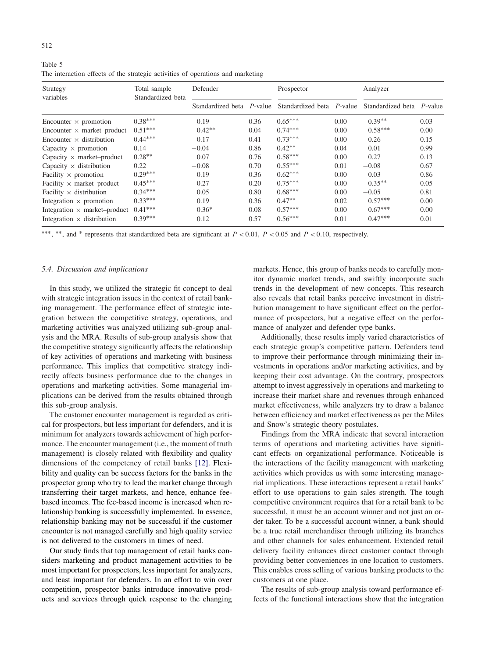<span id="page-7-0"></span>

| I<br>$\sim$ | I |
|-------------|---|

| Table 5                                                                         |  |  |  |
|---------------------------------------------------------------------------------|--|--|--|
| The interaction effects of the strategic activities of operations and marketing |  |  |  |

| Strategy                            | Total sample<br>Standardized beta | Defender                  |      | Prospector                |      | Analyzer                  |      |
|-------------------------------------|-----------------------------------|---------------------------|------|---------------------------|------|---------------------------|------|
| variables                           |                                   | Standardized beta P-value |      | Standardized beta P-value |      | Standardized beta P-value |      |
| Encounter $\times$ promotion        | $0.38***$                         | 0.19                      | 0.36 | $0.65***$                 | 0.00 | $0.39**$                  | 0.03 |
| Encounter $\times$ market-product   | $0.51***$                         | $0.42**$                  | 0.04 | $0.74***$                 | 0.00 | $0.58***$                 | 0.00 |
| Encounter $\times$ distribution     | $0.44***$                         | 0.17                      | 0.41 | $0.73***$                 | 0.00 | 0.26                      | 0.15 |
| Capacity $\times$ promotion         | 0.14                              | $-0.04$                   | 0.86 | $0.42**$                  | 0.04 | 0.01                      | 0.99 |
| Capacity $\times$ market-product    | $0.28**$                          | 0.07                      | 0.76 | $0.58***$                 | 0.00 | 0.27                      | 0.13 |
| Capacity $\times$ distribution      | 0.22                              | $-0.08$                   | 0.70 | $0.55***$                 | 0.01 | $-0.08$                   | 0.67 |
| Facility $\times$ promotion         | $0.29***$                         | 0.19                      | 0.36 | $0.62***$                 | 0.00 | 0.03                      | 0.86 |
| Facility $\times$ market-product    | $0.45***$                         | 0.27                      | 0.20 | $0.75***$                 | 0.00 | $0.35***$                 | 0.05 |
| Facility $\times$ distribution      | $0.34***$                         | 0.05                      | 0.80 | $0.68***$                 | 0.00 | $-0.05$                   | 0.81 |
| Integration $\times$ promotion      | $0.33***$                         | 0.19                      | 0.36 | $0.47**$                  | 0.02 | $0.57***$                 | 0.00 |
| Integration $\times$ market-product | $0.41***$                         | $0.36*$                   | 0.08 | $0.57***$                 | 0.00 | $0.67***$                 | 0.00 |
| Integration $\times$ distribution   | $0.39***$                         | 0.12                      | 0.57 | $0.56***$                 | 0.01 | $0.47***$                 | 0.01 |

∗∗∗, ∗∗, and ∗ represents that standardized beta are significant at *P <* 0*.*01, *P <* 0*.*05 and *P <* 0*.*10, respectively.

#### *5.4. Discussion and implications*

In this study, we utilized the strategic fit concept to deal with strategic integration issues in the context of retail banking management. The performance effect of strategic integration between the competitive strategy, operations, and marketing activities was analyzed utilizing sub-group analysis and the MRA. Results of sub-group analysis show that the competitive strategy significantly affects the relationship of key activities of operations and marketing with business performance. This implies that competitive strategy indirectly affects business performance due to the changes in operations and marketing activities. Some managerial implications can be derived from the results obtained through this sub-group analysis.

The customer encounter management is regarded as critical for prospectors, but less important for defenders, and it is minimum for analyzers towards achievement of high performance. The encounter management (i.e., the moment of truth management) is closely related with flexibility and quality dimensions of the competency of retail banks [\[12\].](#page-9-0) Flexibility and quality can be success factors for the banks in the prospector group who try to lead the market change through transferring their target markets, and hence, enhance feebased incomes. The fee-based income is increased when relationship banking is successfully implemented. In essence, relationship banking may not be successful if the customer encounter is not managed carefully and high quality service is not delivered to the customers in times of need.

Our study finds that top management of retail banks considers marketing and product management activities to be most important for prospectors, less important for analyzers, and least important for defenders. In an effort to win over competition, prospector banks introduce innovative products and services through quick response to the changing markets. Hence, this group of banks needs to carefully monitor dynamic market trends, and swiftly incorporate such trends in the development of new concepts. This research also reveals that retail banks perceive investment in distribution management to have significant effect on the performance of prospectors, but a negative effect on the performance of analyzer and defender type banks.

Additionally, these results imply varied characteristics of each strategic group's competitive pattern. Defenders tend to improve their performance through minimizing their investments in operations and/or marketing activities, and by keeping their cost advantage. On the contrary, prospectors attempt to invest aggressively in operations and marketing to increase their market share and revenues through enhanced market effectiveness, while analyzers try to draw a balance between efficiency and market effectiveness as per the Miles and Snow's strategic theory postulates.

Findings from the MRA indicate that several interaction terms of operations and marketing activities have significant effects on organizational performance. Noticeable is the interactions of the facility management with marketing activities which provides us with some interesting managerial implications. These interactions represent a retail banks' effort to use operations to gain sales strength. The tough competitive environment requires that for a retail bank to be successful, it must be an account winner and not just an order taker. To be a successful account winner, a bank should be a true retail merchandiser through utilizing its branches and other channels for sales enhancement. Extended retail delivery facility enhances direct customer contact through providing better conveniences in one location to customers. This enables cross selling of various banking products to the customers at one place.

The results of sub-group analysis toward performance effects of the functional interactions show that the integration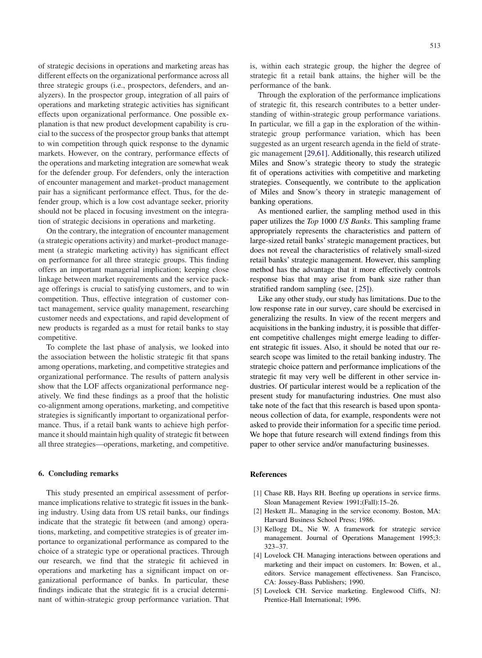<span id="page-8-0"></span>of strategic decisions in operations and marketing areas has different effects on the organizational performance across all three strategic groups (i.e., prospectors, defenders, and analyzers). In the prospector group, integration of all pairs of operations and marketing strategic activities has significant effects upon organizational performance. One possible explanation is that new product development capability is crucial to the success of the prospector group banks that attempt to win competition through quick response to the dynamic markets. However, on the contrary, performance effects of the operations and marketing integration are somewhat weak for the defender group. For defenders, only the interaction of encounter management and market–product management pair has a significant performance effect. Thus, for the defender group, which is a low cost advantage seeker, priority should not be placed in focusing investment on the integration of strategic decisions in operations and marketing.

On the contrary, the integration of encounter management (a strategic operations activity) and market–product management (a strategic marketing activity) has significant effect on performance for all three strategic groups. This finding offers an important managerial implication; keeping close linkage between market requirements and the service package offerings is crucial to satisfying customers, and to win competition. Thus, effective integration of customer contact management, service quality management, researching customer needs and expectations, and rapid development of new products is regarded as a must for retail banks to stay competitive.

To complete the last phase of analysis, we looked into the association between the holistic strategic fit that spans among operations, marketing, and competitive strategies and organizational performance. The results of pattern analysis show that the LOF affects organizational performance negatively. We find these findings as a proof that the holistic co-alignment among operations, marketing, and competitive strategies is significantly important to organizational performance. Thus, if a retail bank wants to achieve high performance it should maintain high quality of strategic fit between all three strategies—operations, marketing, and competitive.

## **6. Concluding remarks**

This study presented an empirical assessment of performance implications relative to strategic fit issues in the banking industry. Using data from US retail banks, our findings indicate that the strategic fit between (and among) operations, marketing, and competitive strategies is of greater importance to organizational performance as compared to the choice of a strategic type or operational practices. Through our research, we find that the strategic fit achieved in operations and marketing has a significant impact on organizational performance of banks. In particular, these findings indicate that the strategic fit is a crucial determinant of within-strategic group performance variation. That

is, within each strategic group, the higher the degree of strategic fit a retail bank attains, the higher will be the performance of the bank.

Through the exploration of the performance implications of strategic fit, this research contributes to a better understanding of within-strategic group performance variations. In particular, we fill a gap in the exploration of the withinstrategic group performance variation, which has been suggested as an urgent research agenda in the field of strategic management [29,61]. Additionally, this research utilized Miles and Snow's strategic theory to study the strategic fit of operations activities with competitive and marketing strategies. Consequently, we contribute to the application of Miles and Snow's theory in strategic management of banking operations.

As mentioned earlier, the sampling method used in this paper utilizes the *Top* 1000 *US Banks*. This sampling frame appropriately represents the characteristics and pattern of large-sized retail banks' strategic management practices, but does not reveal the characteristics of relatively small-sized retail banks' strategic management. However, this sampling method has the advantage that it more effectively controls response bias that may arise from bank size rather than stratified random sampling (see, [\[25\]\)](#page-9-0).

Like any other study, our study has limitations. Due to the low response rate in our survey, care should be exercised in generalizing the results. In view of the recent mergers and acquisitions in the banking industry, it is possible that different competitive challenges might emerge leading to different strategic fit issues. Also, it should be noted that our research scope was limited to the retail banking industry. The strategic choice pattern and performance implications of the strategic fit may very well be different in other service industries. Of particular interest would be a replication of the present study for manufacturing industries. One must also take note of the fact that this research is based upon spontaneous collection of data, for example, respondents were not asked to provide their information for a specific time period. We hope that future research will extend findings from this paper to other service and/or manufacturing businesses.

#### **References**

- [1] Chase RB, Hays RH. Beefing up operations in service firms. Sloan Management Review 1991;(Fall):15–26.
- [2] Heskett JL. Managing in the service economy. Boston, MA: Harvard Business School Press; 1986.
- [3] Kellogg DL, Nie W. A framework for strategic service management. Journal of Operations Management 1995;3: 323–37.
- [4] Lovelock CH. Managing interactions between operations and marketing and their impact on customers. In: Bowen, et al., editors. Service management effectiveness. San Francisco, CA: Jossey-Bass Publishers; 1990.
- [5] Lovelock CH. Service marketing. Englewood Cliffs, NJ: Prentice-Hall International; 1996.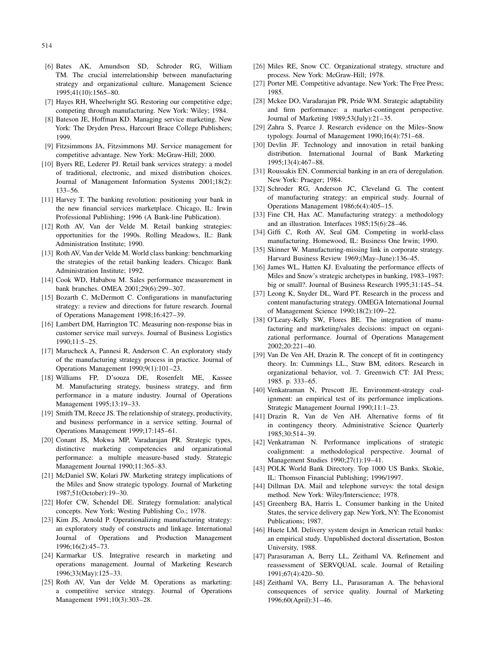- <span id="page-9-0"></span>[6] Bates AK, Amundson SD, Schroder RG, William TM. The crucial interrelationship between manufacturing strategy and organizational culture. Management Science 1995;41(10):1565–80.
- [7] Hayes RH, Wheelwright SG. Restoring our competitive edge; competing through manufacturing. New York: Wiley; 1984.
- [8] Bateson JE, Hoffman KD. Managing service marketing. New York: The Dryden Press, Harcourt Brace College Publishers; 1999.
- [9] Fitzsimmons JA, Fitzsimmons MJ. Service management for competitive advantage. New York: McGraw-Hill; 2000.
- [10] Byers RE, Lederer PJ. Retail bank services strategy: a model of traditional, electronic, and mixed distribution choices. Journal of Management Information Systems 2001;18(2): 133–56.
- [11] Harvey T. The banking revolution: positioning your bank in the new financial services marketplace. Chicago, IL: Irwin Professional Publishing; 1996 (A Bank-line Publication).
- [12] Roth AV, Van der Velde M. Retail banking strategies: opportunities for the 1990s. Rolling Meadows, IL: Bank Administration Institute; 1990.
- [13] Roth AV, Van der Velde M. World class banking: benchmarking the strategies of the retail banking leaders. Chicago: Bank Administration Institute; 1992.
- [14] Cook WD, Hababou M. Sales performance measurement in bank branches. OMEA 2001;29(6):299–307.
- [15] Bozarth C, McDermott C. Configurations in manufacturing strategy: a review and directions for future research. Journal of Operations Management 1998;16:427–39.
- [16] Lambert DM, Harrington TC. Measuring non-response bias in customer service mail surveys. Journal of Business Logistics 1990;11:5–25.
- [17] Marucheck A, Pannesi R, Anderson C. An exploratory study of the manufacturing strategy process in practice. Journal of Operations Management 1990;9(1):101–23.
- [18] Williams FP, D'souza DE, Rosenfelt ME, Kassee M. Manufacturing strategy, business strategy, and firm performance in a mature industry. Journal of Operations Management 1995;13:19–33.
- [19] Smith TM, Reece JS. The relationship of strategy, productivity, and business performance in a service setting. Journal of Operations Management 1999;17:145–61.
- [20] Conant JS, Mokwa MP, Varadarajan PR. Strategic types, distinctive marketing competencies and organizational performance: a multiple measure-based study. Strategic Management Journal 1990;11:365–83.
- [21] McDaniel SW, Kolari JW. Marketing strategy implications of the Miles and Snow strategic typology. Journal of Marketing 1987;51(October):19–30.
- [22] Hofer CW, Schendel DE. Strategy formulation: analytical concepts. New York: Westing Publishing Co.; 1978.
- [23] Kim JS, Arnold P. Operationalizing manufacturing strategy: an exploratory study of constructs and linkage. International Journal of Operations and Production Management 1996;16(2):45–73.
- [24] Karmarkar US. Integrative research in marketing and operations management. Journal of Marketing Research 1996;33(May):125–33.
- [25] Roth AV, Van der Velde M. Operations as marketing: a competitive service strategy. Journal of Operations Management 1991;10(3):303–28.
- [26] Miles RE, Snow CC. Organizational strategy, structure and process. New York: McGraw-Hill; 1978.
- [27] Porter ME. Competitive advantage. New York: The Free Press; 1985.
- [28] Mckee DO, Varadarajan PR, Pride WM. Strategic adaptability and firm performance: a market-contingent perspective. Journal of Marketing 1989;53(July):21–35.
- [29] Zahra S, Pearce J. Research evidence on the Miles–Snow typology. Journal of Management 1990;16(4):751–68.
- [30] Devlin JF. Technology and innovation in retail banking distribution. International Journal of Bank Marketing 1995;13(4):467–88.
- [31] Roussakis EN. Commercial banking in an era of deregulation. New York: Praeger; 1984.
- [32] Schroder RG, Anderson JC, Cleveland G. The content of manufacturing strategy: an empirical study. Journal of Operations Management 1986;6(4):405–15.
- [33] Fine CH, Hax AC. Manufacturing strategy: a methodology and an illustration. Interfaces 1985;15(6):28–46.
- [34] Giffi C, Roth AV, Seal GM. Competing in world-class manufacturing. Homewood, IL: Business One Irwin; 1990.
- [35] Skinner W. Manufacturing-missing link in corporate strategy. Harvard Business Review 1969;(May–June):136–45.
- [36] James WL, Hatten KJ. Evaluating the performance effects of Miles and Snow's strategic archetypes in banking, 1983–1987: big or small?. Journal of Business Research 1995;31:145–54.
- [37] Leong K, Snyder DL, Ward PT. Research in the process and content manufacturing strategy. OMEGA International Journal of Management Science 1990;18(2):109–22.
- [38] O'Leary-Kelly SW, Flores BE. The integration of manufacturing and marketing/sales decisions: impact on organizational performance. Journal of Operations Management 2002;20:221–40.
- [39] Van De Ven AH, Drazin R. The concept of fit in contingency theory. In: Cummings LL., Staw BM, editors. Research in organizational behavior, vol. 7. Greenwich CT: JAI Press; 1985. p. 333–65.
- [40] Venkatraman N, Prescott JE. Environment-strategy coalignment: an empirical test of its performance implications. Strategic Management Journal 1990;11:1–23.
- [41] Drazin R, Van de Ven AH. Alternative forms of fit in contingency theory. Administrative Science Quarterly 1985;30:514–39.
- [42] Venkatraman N. Performance implications of strategic coalignment: a methodological perspective. Journal of Management Studies 1990;27(1):19–41.
- [43] POLK World Bank Directory. Top 1000 US Banks. Skokie, IL: Thomson Financial Publishing; 1996/1997.
- [44] Dillman DA. Mail and telephone surveys: the total design method. New York: Wiley/Interscience; 1978.
- [45] Greenberg BA, Harris L. Consumer banking in the United States, the service delivery gap. New York, NY: The Economist Publications; 1987.
- [46] Huete LM. Delivery system design in American retail banks: an empirical study. Unpublished doctoral dissertation, Boston University, 1988.
- [47] Parasuraman A, Berry LL, Zeithaml VA. Refinement and reassessment of SERVQUAL scale. Journal of Retailing 1991;67(4):420–50.
- [48] Zeithaml VA, Berry LL, Parasuraman A. The behavioral consequences of service quality. Journal of Marketing 1996;60(April):31–46.